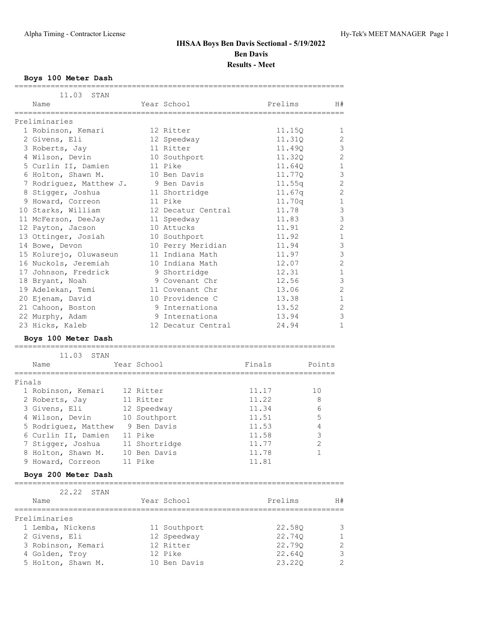### **Boys 100 Meter Dash**

|        | :==============                                  |                    |         |                |
|--------|--------------------------------------------------|--------------------|---------|----------------|
|        | 11.03<br>STAN                                    |                    |         |                |
|        | Name                                             | Year School        | Prelims | H#             |
|        | ===============                                  |                    |         |                |
|        | Preliminaries                                    |                    |         |                |
|        | 1 Robinson, Kemari                               | 12 Ritter          | 11.15Q  | 1              |
|        | 2 Givens, Eli                                    | 12 Speedway        | 11.310  | 2              |
|        | 3 Roberts, Jay                                   | 11 Ritter          | 11.490  | $\mathcal{S}$  |
|        | 4 Wilson, Devin                                  | 10 Southport       | 11.32Q  | $\overline{c}$ |
|        | 5 Curlin II, Damien                              | 11 Pike            | 11.640  | 1              |
|        | 6 Holton, Shawn M.                               | 10 Ben Davis       | 11.77Q  | 3              |
|        | 7 Rodriguez, Matthew J.                          | 9 Ben Davis        | 11.55q  | $\overline{c}$ |
|        | 8 Stigger, Joshua                                | 11 Shortridge      | 11.67q  | $\overline{c}$ |
|        | 9 Howard, Correon                                | 11 Pike            | 11.70q  | $\mathbf 1$    |
|        | 10 Starks, William                               | 12 Decatur Central | 11.78   | 3              |
|        | 11 McFerson, DeeJay                              | 11 Speedway        | 11.83   | 3              |
|        | 12 Payton, Jacson                                | 10 Attucks         | 11.91   | $\overline{c}$ |
|        | 13 Ottinger, Josiah                              | 10 Southport       | 11.92   | $\mathbf 1$    |
|        | 14 Bowe, Devon                                   | 10 Perry Meridian  | 11.94   | 3              |
|        | 15 Kolurejo, Oluwaseun                           | 11 Indiana Math    | 11.97   | 3              |
|        | 16 Nuckols, Jeremiah                             | 10 Indiana Math    | 12.07   | $\overline{c}$ |
|        | 17 Johnson, Fredrick                             | 9 Shortridge       | 12.31   | $\mathbf 1$    |
|        | 18 Bryant, Noah                                  | 9 Covenant Chr     | 12.56   | 3              |
|        | 19 Adelekan, Temi                                | 11 Covenant Chr    | 13.06   | $\overline{c}$ |
|        | 20 Ejenam, David                                 | 10 Providence C    | 13.38   | $\mathbf{1}$   |
|        | 21 Cahoon, Boston                                | 9 Internationa     | 13.52   | $\sqrt{2}$     |
|        | 22 Murphy, Adam                                  | 9 Internationa     | 13.94   | $\mathcal{S}$  |
|        | 23 Hicks, Kaleb                                  | 12 Decatur Central | 24.94   | 1              |
|        |                                                  |                    |         |                |
|        | Boys 100 Meter Dash                              |                    |         |                |
|        |                                                  |                    |         |                |
|        | 11.03<br>STAN                                    |                    |         |                |
|        | Name                                             | Year School        | Finals  | Points         |
|        |                                                  |                    |         |                |
| Finals |                                                  |                    |         |                |
|        | 1 Robinson, Kemari                               | 12 Ritter          | 11.17   | 10             |
|        | 2 Roberts, Jay                                   | 11 Ritter          | 11.22   | 8              |
|        | 3 Givens, Eli                                    | 12 Speedway        | 11.34   | 6              |
|        | 4 Wilson, Devin                                  | 10 Southport       | 11.51   | 5              |
|        | 5 Rodriguez, Matthew 9 Ben Davis                 |                    | 11.53   | 4              |
|        | 6 Curlin II, Damien                              | 11 Pike            | 11.58   | $\mathsf 3$    |
|        | 7 Stigger, Joshua                                | 11 Shortridge      | 11.77   | $\sqrt{2}$     |
|        | 8 Holton, Shawn M.                               | 10 Ben Davis       | 11.78   | 1              |
|        | 9 Howard, Correon                                | 11 Pike            | 11.81   |                |
|        | Boys 200 Meter Dash<br>========================= |                    |         |                |
|        | 22.22<br>STAN                                    |                    |         |                |
|        | Name                                             | Year School        | Prelims | H#             |
|        | --------------------                             |                    |         |                |
|        | Preliminaries                                    |                    |         |                |
|        | 1 Lemba, Nickens                                 | 11 Southport       | 22.58Q  | 3              |
|        | 2 Givens, Eli                                    | 12 Speedway        | 22.74Q  | 1              |
|        | 3 Robinson, Kemari                               | 12 Ritter          | 22.790  | $\mathbf 2$    |
|        |                                                  | 12 Pike            |         | $\mathsf 3$    |
|        | 4 Golden, Troy                                   |                    | 22.64Q  |                |
|        | 5 Holton, Shawn M.                               | 10 Ben Davis       | 23.22Q  | $\mathbf{2}$   |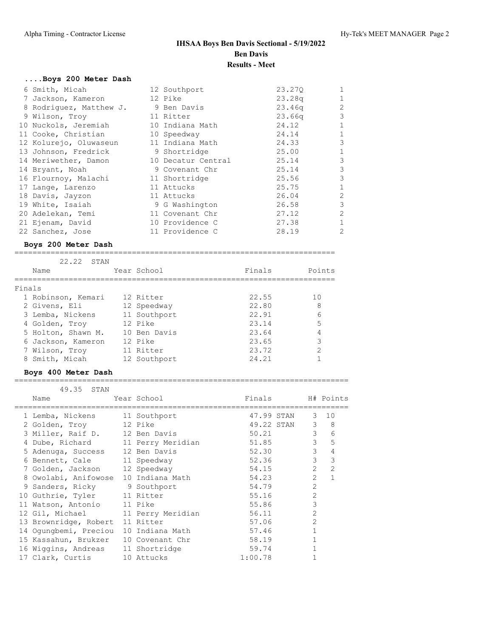### **....Boys 200 Meter Dash**

| 6 Smith, Micah                      | 12 Southport       | 23.270 | $\mathbf{1}$   |
|-------------------------------------|--------------------|--------|----------------|
| 7 Jackson, Kameron                  | 12 Pike            | 23.28q | $\mathbf{1}$   |
| 8 Rodriquez, Matthew J. 9 Ben Davis |                    | 23.46q | $\overline{2}$ |
| 9 Wilson, Troy                      | 11 Ritter          | 23.66q | 3              |
| 10 Nuckols, Jeremiah                | 10 Indiana Math    | 24.12  | 1              |
| 11 Cooke, Christian                 | 10 Speedway        | 24.14  | $\mathbf{1}$   |
| 12 Kolurejo, Oluwaseun              | 11 Indiana Math    | 24.33  | 3              |
| 13 Johnson, Fredrick                | 9 Shortridge       | 25.00  | $\mathbf{1}$   |
| 14 Meriwether, Damon                | 10 Decatur Central | 25.14  | 3              |
| 14 Bryant, Noah                     | 9 Covenant Chr     | 25.14  | 3              |
| 16 Flournoy, Malachi                | 11 Shortridge      | 25.56  | 3              |
| 17 Lange, Larenzo                   | 11 Attucks         | 25.75  | $\mathbf{1}$   |
| 18 Davis, Jayzon                    | 11 Attucks         | 26.04  | 2              |
| 19 White, Isaiah                    | 9 G Washington     | 26.58  | 3              |
| 20 Adelekan, Temi                   | 11 Covenant Chr    | 27.12  | 2              |
| 21 Ejenam, David                    | 10 Providence C    | 27.38  | $\mathbf{1}$   |
| 22 Sanchez, Jose                    | 11 Providence C    | 28.19  | 2              |

### **Boys 200 Meter Dash**

| 22.22<br>STAN      |              |        |        |
|--------------------|--------------|--------|--------|
| Name               | Year School  | Finals | Points |
|                    |              |        |        |
| Finals             |              |        |        |
| 1 Robinson, Kemari | 12 Ritter    | 22.55  | 1 O    |
| 2 Givens, Eli      | 12 Speedway  | 22.80  | 8      |
| 3 Lemba, Nickens   | 11 Southport | 22.91  | 6      |
| 4 Golden, Trov     | 12 Pike      | 23.14  | 5      |
| 5 Holton, Shawn M. | 10 Ben Davis | 23.64  | 4      |
| 6 Jackson, Kameron | 12 Pike      | 23.65  | 3      |
| 7 Wilson, Troy     | 11 Ritter    | 23.72  | 2      |
| 8 Smith, Micah     | 12 Southport | 24.21  |        |

### **Boys 400 Meter Dash**

#### ==========================================================================

| 49.35 STAN                        |                 |                  |                |                  |
|-----------------------------------|-----------------|------------------|----------------|------------------|
| Name                              | Year School     | Finals H# Points |                |                  |
| 1 Lemba, Nickens 11 Southport     |                 | 47.99 STAN       |                | $3 - 10$         |
| 2 Golden, Troy                    | 12 Pike         | 49.22 STAN       |                | $3 \quad 8$      |
| 3 Miller, Raif D. 12 Ben Davis    |                 | 50.21            |                | $3^{\circ}$<br>6 |
| 4 Dube, Richard 11 Perry Meridian |                 | 51.85            |                | $3^{\circ}$<br>5 |
| 5 Adenuga, Success 12 Ben Davis   |                 | 52.30            | 3 <sup>7</sup> | 4                |
| 6 Bennett, Cale                   | 11 Speedway     | 52.36            | 3 <sup>7</sup> | 3                |
| 7 Golden, Jackson                 | 12 Speedway     | 54.15            | $\overline{2}$ | $\overline{2}$   |
| 8 Owolabi, Anifowose              | 10 Indiana Math | 54.23            | $\overline{2}$ | $\mathbf{1}$     |
| 9 Sanders, Ricky 9 Southport      |                 | 54.79            | $\overline{2}$ |                  |
| 10 Guthrie, Tyler 11 Ritter       |                 | 55.16            | $\overline{2}$ |                  |
| 11 Watson, Antonio                | 11 Pike         | 55.86            | 3              |                  |
| 12 Gil, Michael 11 Perry Meridian |                 | 56.11            | $\mathfrak{D}$ |                  |
| 13 Brownridge, Robert             | 11 Ritter       | 57.06            | $\overline{2}$ |                  |
| 14 Oqunqbemi, Preciou             | 10 Indiana Math | 57.46            |                |                  |
| 15 Kassahun, Brukzer              | 10 Covenant Chr | 58.19            |                |                  |
| 16 Wiggins, Andreas 11 Shortridge |                 | 59.74            |                |                  |
| 17 Clark, Curtis                  | 10 Attucks      | 1:00.78          |                |                  |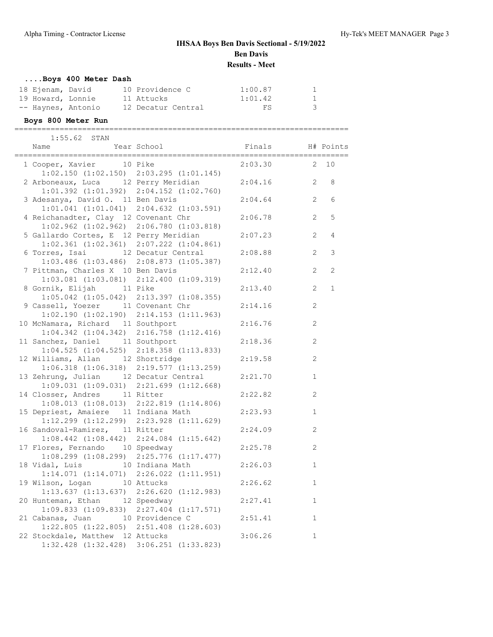### **....Boys 400 Meter Dash**

| 18 Ejenam, David   | 10 Providence C    | 1:00.87 |   |
|--------------------|--------------------|---------|---|
| 19 Howard, Lonnie  | 11 Attucks         | 1:01.42 |   |
| -- Haynes, Antonio | 12 Decatur Central | FS      | 3 |

### **Boys 800 Meter Run**

==========================================================================

| 1:55.62 STAN                                    |             |         |                       |             |
|-------------------------------------------------|-------------|---------|-----------------------|-------------|
| Name<br>;=================================      | Year School | Finals  |                       | H# Points   |
| 1 Cooper, Xavier 10 Pike                        |             | 2:03.30 | 2                     | 10          |
| $1:02.150$ $(1:02.150)$ $2:03.295$ $(1:01.145)$ |             |         |                       |             |
| 2 Arboneaux, Luca 12 Perry Meridian             |             | 2:04.16 | $\overline{2}$        | 8           |
| $1:01.392$ $(1:01.392)$ $2:04.152$ $(1:02.760)$ |             |         |                       |             |
| 3 Adesanya, David O. 11 Ben Davis               |             | 2:04.64 | 2                     | 6           |
| $1:01.041$ $(1:01.041)$ $2:04.632$ $(1:03.591)$ |             |         |                       |             |
| 4 Reichanadter, Clay 12 Covenant Chr            |             | 2:06.78 | $\overline{2}$        | 5           |
| $1:02.962$ $(1:02.962)$ $2:06.780$ $(1:03.818)$ |             |         |                       |             |
| 5 Gallardo Cortes, E 12 Perry Meridian          |             | 2:07.23 | $\overline{2}$        | 4           |
| $1:02.361$ $(1:02.361)$ $2:07.222$ $(1:04.861)$ |             |         |                       |             |
| 6 Torres, Isai 12 Decatur Central               |             | 2:08.88 | $\overline{2}$        | 3           |
| $1:03.486$ $(1:03.486)$ $2:08.873$ $(1:05.387)$ |             |         |                       |             |
| 7 Pittman, Charles X 10 Ben Davis               |             | 2:12.40 | $\overline{2}$        | 2           |
| $1:03.081$ $(1:03.081)$ $2:12.400$ $(1:09.319)$ |             |         |                       |             |
| 8 Gornik, Elijah 11 Pike                        |             | 2:13.40 | $\mathbf{2}^{\prime}$ | $\mathbf 1$ |
| $1:05.042$ $(1:05.042)$ $2:13.397$ $(1:08.355)$ |             |         |                       |             |
| 9 Cassell, Yoezer 11 Covenant Chr               |             | 2:14.16 | 2                     |             |
| $1:02.190$ $(1:02.190)$ $2:14.153$ $(1:11.963)$ |             |         |                       |             |
| 10 McNamara, Richard 11 Southport               |             | 2:16.76 | $\mathbf{2}$          |             |
| $1:04.342$ $(1:04.342)$ $2:16.758$ $(1:12.416)$ |             |         |                       |             |
| 11 Sanchez, Daniel 11 Southport                 |             | 2:18.36 | 2                     |             |
| $1:04.525$ $(1:04.525)$ $2:18.358$ $(1:13.833)$ |             |         |                       |             |
| 12 Williams, Allan 12 Shortridge                |             | 2:19.58 | 2                     |             |
| $1:06.318$ $(1:06.318)$ $2:19.577$ $(1:13.259)$ |             |         |                       |             |
| 13 Zehrung, Julian 12 Decatur Central           |             | 2:21.70 | $\mathbf{1}$          |             |
| $1:09.031$ $(1:09.031)$ $2:21.699$ $(1:12.668)$ |             |         |                       |             |
| 14 Closser, Andres 11 Ritter                    |             | 2:22.82 | 2                     |             |
| $1:08.013$ $(1:08.013)$ $2:22.819$ $(1:14.806)$ |             |         |                       |             |
| 15 Depriest, Amaiere 11 Indiana Math            |             | 2:23.93 | $\mathbf{1}$          |             |
| $1:12.299$ $(1:12.299)$ $2:23.928$ $(1:11.629)$ |             |         |                       |             |
| 16 Sandoval-Ramirez, 11 Ritter                  |             | 2:24.09 | $\overline{c}$        |             |
| $1:08.442$ $(1:08.442)$ $2:24.084$ $(1:15.642)$ |             |         |                       |             |
| 17 Flores, Fernando 10 Speedway                 |             | 2:25.78 | $\overline{c}$        |             |
| $1:08.299$ $(1:08.299)$ $2:25.776$ $(1:17.477)$ |             |         |                       |             |
| 18 Vidal, Luis 10 Indiana Math                  |             | 2:26.03 | $\mathbf{1}$          |             |
| $1:14.071$ $(1:14.071)$ $2:26.022$ $(1:11.951)$ |             |         |                       |             |
| 19 Wilson, Logan 10 Attucks                     |             | 2:26.62 | $\mathbf{1}$          |             |
| $1:13.637$ $(1:13.637)$ $2:26.620$ $(1:12.983)$ |             |         |                       |             |
| 20 Hunteman, Ethan 12 Speedway                  |             | 2:27.41 | $\mathbf{1}$          |             |
| $1:09.833$ $(1:09.833)$ $2:27.404$ $(1:17.571)$ |             |         |                       |             |
| 21 Cabanas, Juan 10 Providence C                |             | 2:51.41 | $\mathbf{1}$          |             |
| $1:22.805$ $(1:22.805)$ $2:51.408$ $(1:28.603)$ |             |         |                       |             |
| 22 Stockdale, Matthew 12 Attucks                |             | 3:06.26 | $\mathbf{1}$          |             |
| 1:32.428 (1:32.428) 3:06.251 (1:33.823)         |             |         |                       |             |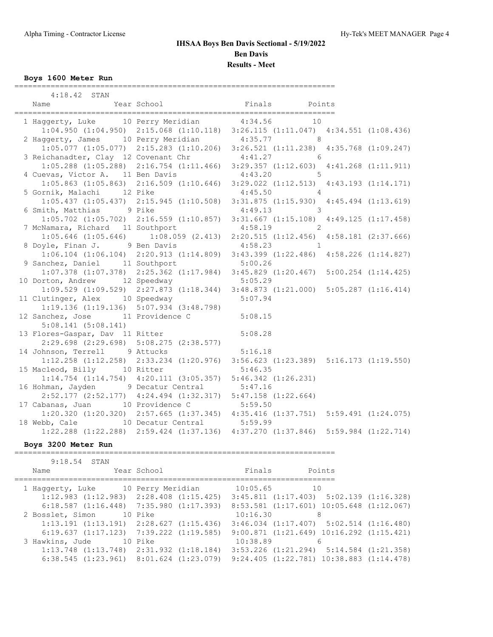### **Boys 1600 Meter Run**

| $4:18.42$ STAN                                                                                                                   |                                                                         |                                                                                                                                  |  |
|----------------------------------------------------------------------------------------------------------------------------------|-------------------------------------------------------------------------|----------------------------------------------------------------------------------------------------------------------------------|--|
| Name                                                                                                                             |                                                                         | Example 2011.<br>Finals Points Points Points Points Points Points Points Points Points Points Points Points Points Points Points |  |
|                                                                                                                                  |                                                                         |                                                                                                                                  |  |
| 1 Haggerty, Luke 10 Perry Meridian 4:34.56 10                                                                                    |                                                                         |                                                                                                                                  |  |
|                                                                                                                                  |                                                                         | $1:04.950$ $(1:04.950)$ $2:15.068$ $(1:10.118)$ $3:26.115$ $(1:11.047)$ $4:34.551$ $(1:08.436)$                                  |  |
| 2 Haggerty, James 10 Perry Meridian 4:35.77 8<br>1:05.077 (1:05.077) 2:15.283 (1:10.206) 3:26.521 (1:11.238) 4:35.768 (1:09.247) |                                                                         |                                                                                                                                  |  |
|                                                                                                                                  |                                                                         |                                                                                                                                  |  |
| 3 Reichanadter, Clay 12 Covenant Chr 4:41.27 6                                                                                   |                                                                         |                                                                                                                                  |  |
|                                                                                                                                  |                                                                         | $1:05.288$ (1:05.288) 2:16.754 (1:11.466) 3:29.357 (1:12.603) 4:41.268 (1:11.911)                                                |  |
| 4 Cuevas, Victor A. 11 Ben Davis                                                                                                 |                                                                         | $\sim$ 5<br>4:43.20                                                                                                              |  |
|                                                                                                                                  |                                                                         | $1:05.863$ (1:05.863) $2:16.509$ (1:10.646) $3:29.022$ (1:12.513) $4:43.193$ (1:14.171)                                          |  |
| 5 Gornik, Malachi 12 Pike                                                                                                        |                                                                         | $4:45.50$ 4                                                                                                                      |  |
|                                                                                                                                  |                                                                         | $1:05.437 (1:05.437) 2:15.945 (1:10.508) 3:31.875 (1:15.930) 4:45.494 (1:13.619)$                                                |  |
| 6 Smith, Matthias 9 Pike                                                                                                         |                                                                         | $4:49.13$ 3<br>1:05.702 (1:05.702) 2:16.559 (1:10.857) 3:31.667 (1:15.108) 4:49.125 (1:17.458)                                   |  |
| 7 McNamara, Richard 11 Southport                                                                                                 |                                                                         | $4:58.19$ 2                                                                                                                      |  |
|                                                                                                                                  |                                                                         | 1:05.646 (1:05.646) 1:08.059 (2.413) 2:20.515 (1:12.456) 4:58.181 (2:37.666)                                                     |  |
| 8 Doyle, Finan J. 9 Ben Davis                                                                                                    |                                                                         | $4:58.23$ 1                                                                                                                      |  |
|                                                                                                                                  |                                                                         | 1:06.104 (1:06.104) 2:20.913 (1:14.809) 3:43.399 (1:22.486) 4:58.226 (1:14.827)                                                  |  |
| 9 Sanchez, Daniel 11 Southport                                                                                                   |                                                                         |                                                                                                                                  |  |
|                                                                                                                                  |                                                                         | nchez, Daniel 11 Southport 5:00.26<br>1:07.378 (1:07.378) 2:25.362 (1:17.984) 3:45.829 (1:20.467) 5:00.254 (1:14.425)            |  |
|                                                                                                                                  |                                                                         |                                                                                                                                  |  |
| 10 Dorton, Andrew 12 Speedway 5:05.29<br>1:09.529 (1:09.529) 2:27.873 (1:18.344) 3:48.873 (1:21.000) 5:05.287 (1:16.414)         |                                                                         |                                                                                                                                  |  |
| 11 Clutinger, Alex 10 Speedway 5:07.94                                                                                           |                                                                         |                                                                                                                                  |  |
|                                                                                                                                  | 1:19.136 (1:19.136) 5:07.934 (3:48.798)                                 |                                                                                                                                  |  |
| 12 Sanchez, Jose 11 Providence C 5:08.15                                                                                         |                                                                         |                                                                                                                                  |  |
| 5:08.141(5:08.141)                                                                                                               |                                                                         |                                                                                                                                  |  |
| 5:08.141 (5:08.141)<br>13 Flores-Gaspar, Dav 11 Ritter                                                                           |                                                                         | 5:08.28                                                                                                                          |  |
|                                                                                                                                  | $2:29.698$ $(2:29.698)$ $5:08.275$ $(2:38.577)$                         |                                                                                                                                  |  |
| 14 Johnson, Terrell 9 Attucks                                                                                                    |                                                                         | 5:16.18                                                                                                                          |  |
|                                                                                                                                  |                                                                         | 1:12.258 (1:12.258) 2:33.234 (1:20.976) 3:56.623 (1:23.389) 5:16.173 (1:19.550)                                                  |  |
| 15 Macleod, Billy 10 Ritter                                                                                                      | 5:46.35                                                                 |                                                                                                                                  |  |
|                                                                                                                                  | $1:14.754$ $(1:14.754)$ $4:20.111$ $(3:05.357)$ $5:46.342$ $(1:26.231)$ |                                                                                                                                  |  |
| 16 Hohman, Jayden 9 Decatur Central 5:47.16                                                                                      |                                                                         |                                                                                                                                  |  |
|                                                                                                                                  | 2:52.177 (2:52.177) 4:24.494 (1:32.317) 5:47.158 (1:22.664)             |                                                                                                                                  |  |
| 17 Cabanas, Juan 10 Providence C 5:59.50<br>1:20.320 (1:20.320) 2:57.665 (1:37.345) 4:35.416 (1:37.751) 5:59.491 (1:24.075)      |                                                                         |                                                                                                                                  |  |
| 18 Webb, Cale 10 Decatur Central 5:59.99                                                                                         |                                                                         |                                                                                                                                  |  |
|                                                                                                                                  |                                                                         | $1:22.288$ (1:22.288) 2:59.424 (1:37.136) 4:37.270 (1:37.846) 5:59.984 (1:22.714)                                                |  |
|                                                                                                                                  |                                                                         |                                                                                                                                  |  |

### **Boys 3200 Meter Run**

=======================================================================

|  | $9:18.54$ STAN |                                                                                                  |             |          |                                                  |        |  |
|--|----------------|--------------------------------------------------------------------------------------------------|-------------|----------|--------------------------------------------------|--------|--|
|  | Name           |                                                                                                  | Year School | Finals   |                                                  | Points |  |
|  |                | 1 Haggerty, Luke 10 Perry Meridian                                                               |             | 10:05.65 | 10                                               |        |  |
|  |                | $1:12.983$ $(1:12.983)$ $2:28.408$ $(1:15.425)$                                                  |             |          | $3:45.811$ $(1:17.403)$ $5:02.139$ $(1:16.328)$  |        |  |
|  |                | $6:18.587$ $(1:16.448)$ $7:35.980$ $(1:17.393)$                                                  |             |          | $8:53.581$ $(1:17.601)$ $10:05.648$ $(1:12.067)$ |        |  |
|  |                | 2 Bosslet, Simon 10 Pike                                                                         |             | 10:16.30 |                                                  | 8      |  |
|  |                | $1:13.191$ $(1:13.191)$ $2:28.627$ $(1:15.436)$                                                  |             |          | $3:46.034$ $(1:17.407)$ $5:02.514$ $(1:16.480)$  |        |  |
|  |                | $6:19.637$ $(1:17.123)$ $7:39.222$ $(1:19.585)$                                                  |             |          | $9:00.871$ $(1:21.649)$ $10:16.292$ $(1:15.421)$ |        |  |
|  |                | 3 Hawkins, Jude 10 Pike                                                                          |             | 10:38.89 |                                                  | 6      |  |
|  |                | $1:13.748$ $(1:13.748)$ $2:31.932$ $(1:18.184)$ $3:53.226$ $(1:21.294)$ $5:14.584$ $(1:21.358)$  |             |          |                                                  |        |  |
|  |                | $6:38.545$ $(1:23.961)$ $8:01.624$ $(1:23.079)$ $9:24.405$ $(1:22.781)$ $10:38.883$ $(1:14.478)$ |             |          |                                                  |        |  |
|  |                |                                                                                                  |             |          |                                                  |        |  |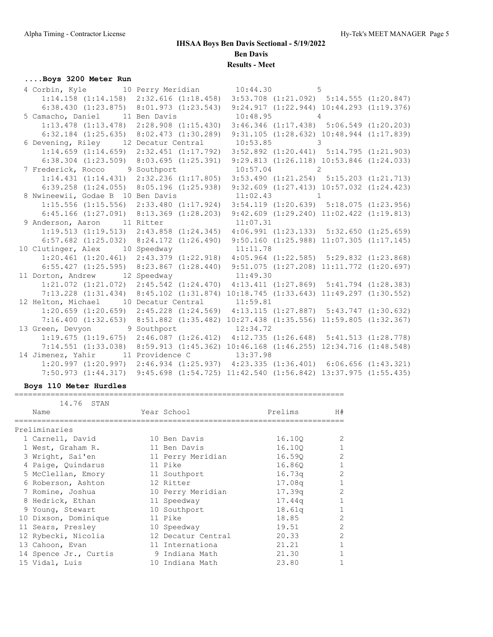### **....Boys 3200 Meter Run**

| 4 Corbin, Kyle 10 Perry Meridian 10:44.30 5                                             |  |  |
|-----------------------------------------------------------------------------------------|--|--|
| 1:14.158 (1:14.158) 2:32.616 (1:18.458) 3:53.708 (1:21.092) 5:14.555 (1:20.847)         |  |  |
| 6:38.430 (1:23.875) 8:01.973 (1:23.543) 9:24.917 (1:22.944) 10:44.293 (1:19.376)        |  |  |
| 5 Camacho, Daniel 11 Ben Davis 10:48.95 4                                               |  |  |
| 1:13.478 (1:13.478) 2:28.908 (1:15.430) 3:46.346 (1:17.438) 5:06.549 (1:20.203)         |  |  |
| $6:32.184$ (1:25.635) 8:02.473 (1:30.289) 9:31.105 (1:28.632) 10:48.944 (1:17.839)      |  |  |
| 6 Devening, Riley 12 Decatur Central 10:53.85 3                                         |  |  |
| $1:14.659$ (1:14.659) 2:32.451 (1:17.792) 3:52.892 (1:20.441) 5:14.795 (1:21.903)       |  |  |
| 6:38.304 (1:23.509) 8:03.695 (1:25.391) 9:29.813 (1:26.118) 10:53.846 (1:24.033)        |  |  |
| 7 Frederick, Rocco 9 Southport 10:57.04 2                                               |  |  |
| 1:14.431 (1:14.431) 2:32.236 (1:17.805) 3:53.490 (1:21.254) 5:15.203 (1:21.713)         |  |  |
| 6:39.258 (1:24.055) 8:05.196 (1:25.938) 9:32.609 (1:27.413) 10:57.032 (1:24.423)        |  |  |
| 8 Nwineewii, Godae B 10 Ben Davis 11:02.43 1                                            |  |  |
| 1:15.556 (1:15.556) 2:33.480 (1:17.924) 3:54.119 (1:20.639) 5:18.075 (1:23.956)         |  |  |
| 6:45.166 (1:27.091) 8:13.369 (1:28.203) 9:42.609 (1:29.240) 11:02.422 (1:19.813)        |  |  |
| 9 Anderson, Aaron 11 Ritter 11:07.31                                                    |  |  |
| 1:19.513 (1:19.513) 2:43.858 (1:24.345) 4:06.991 (1:23.133) 5:32.650 (1:25.659)         |  |  |
| 6:57.682 (1:25.032) 8:24.172 (1:26.490) 9:50.160 (1:25.988) 11:07.305 (1:17.145)        |  |  |
| 10 Clutinger, Alex 10 Speedway 11:11.78                                                 |  |  |
| 1:20.461 (1:20.461) 2:43.379 (1:22.918) 4:05.964 (1:22.585) 5:29.832 (1:23.868)         |  |  |
| $6:55.427$ (1:25.595) $8:23.867$ (1:28.440) $9:51.075$ (1:27.208) 11:11.772 (1:20.697)  |  |  |
| 11 Dorton, Andrew 12 Speedway 11:49.30                                                  |  |  |
| 1:21.072 (1:21.072) 2:45.542 (1:24.470) 4:13.411 (1:27.869) 5:41.794 (1:28.383)         |  |  |
| 7:13.228 (1:31.434) 8:45.102 (1:31.874) 10:18.745 (1:33.643) 11:49.297 (1:30.552)       |  |  |
| 12 Helton, Michael 10 Decatur Central 11:59.81                                          |  |  |
| $1:20.659$ (1:20.659) $2:45.228$ (1:24.569) $4:13.115$ (1:27.887) $5:43.747$ (1:30.632) |  |  |
| 7:16.400 (1:32.653) 8:51.882 (1:35.482) 10:27.438 (1:35.556) 11:59.805 (1:32.367)       |  |  |
| 13 Green, Devyon 9 Southport 12:34.72                                                   |  |  |
| $1:19.675$ (1:19.675) $2:46.087$ (1:26.412) $4:12.735$ (1:26.648) $5:41.513$ (1:28.778) |  |  |
| 7:14.551 (1:33.038) 8:59.913 (1:45.362) 10:46.168 (1:46.255) 12:34.716 (1:48.548)       |  |  |
| 14 Jimenez, Yahir 11 Providence C 13:37.98                                              |  |  |
| 1:20.997 (1:20.997) 2:46.934 (1:25.937) 4:23.335 (1:36.401) 6:06.656 (1:43.321)         |  |  |
| 7:50.973 (1:44.317) 9:45.698 (1:54.725) 11:42.540 (1:56.842) 13:37.975 (1:55.435)       |  |  |

#### **Boys 110 Meter Hurdles**

| 14.76<br>STAN         |                    |         |                |
|-----------------------|--------------------|---------|----------------|
| Name                  | Year School        | Prelims | H#             |
| Preliminaries         |                    |         |                |
|                       |                    |         |                |
| 1 Carnell, David      | 10 Ben Davis       | 16.100  | 2              |
| 1 West, Graham R.     | 11 Ben Davis       | 16.100  |                |
| 3 Wright, Sai'en      | 11 Perry Meridian  | 16.590  | 2              |
| 4 Paige, Quindarus    | 11 Pike            | 16.860  |                |
| 5 McClellan, Emory    | 11 Southport       | 16.73q  | 2              |
| 6 Roberson, Ashton    | 12 Ritter          | 17.08q  |                |
| 7 Romine, Joshua      | 10 Perry Meridian  | 17.39q  | $\overline{2}$ |
| 8 Hedrick, Ethan      | 11 Speedway        | 17.44q  |                |
| 9 Young, Stewart      | 10 Southport       | 18.61q  | 1              |
| 10 Dixson, Dominique  | 11 Pike            | 18.85   | $\overline{2}$ |
| 11 Sears, Presley     | 10 Speedway        | 19.51   | $\overline{2}$ |
| 12 Rybecki, Nicolia   | 12 Decatur Central | 20.33   | $\overline{2}$ |
| 13 Cahoon, Evan       | 11 Internationa    | 21.21   | 1              |
| 14 Spence Jr., Curtis | 9 Indiana Math     | 21.30   |                |
| 15 Vidal, Luis        | 10 Indiana Math    | 23.80   |                |

=========================================================================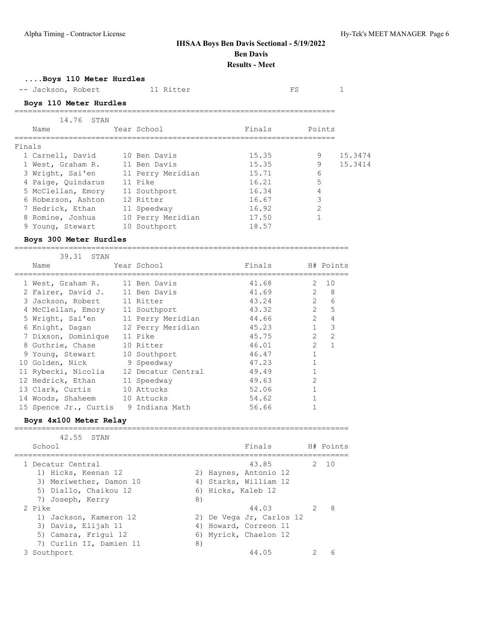### **....Boys 110 Meter Hurdles** -- Jackson, Robert 11 Ritter 11 FS FS 1 **Boys 110 Meter Hurdles** ======================================================================= 14.76 STAN Name Year School Pinals Points ======================================================================= Finals 1 Carnell, David 10 Ben Davis 15.35 9 15.3474 1 West, Graham R. 11 Ben Davis 15.35 9 15.3414 3 Wright, Sai'en 11 Perry Meridian 15.71 6 4 Paige, Quindarus 11 Pike 16.21 5 5 McClellan, Emory 11 Southport 16.34 4 6 Roberson, Ashton 12 Ritter 16.67 3 7 Hedrick, Ethan 11 Speedway 16.92 2 8 Romine, Joshua 10 Perry Meridian 17.50 1 9 Young, Stewart 10 Southport 18.57 **Boys 300 Meter Hurdles** ========================================================================== 39.31 STAN Name Year School Finals H# Points ========================================================================== 1 West, Graham R. 11 Ben Davis 41.68 2 10 2 Fairer, David J. 11 Ben Davis 41.69 2 8 3 Jackson, Robert 11 Ritter 43.24 2 6 4 McClellan, Emory 11 Southport 43.32 2 5 5 Wright, Sai'en 11 Perry Meridian 44.66 2 4 6 Knight, Dagan 12 Perry Meridian 45.23 1 3 7 Dixson, Dominique 11 Pike 45.75 2 2 8 Guthrie, Chase 10 Ritter 10 16.01 2 1 9 Young, Stewart 10 Southport 46.47 1 10 Golden, Nick and 9 Speedway 1 and 47.23 1 and 47.23 1 and 47.23 1 and 47.23 1 and 47.23 1 and 47.23 1 and 47.23 1 and 47.23 1 and 47.23 1 and 47.23 1 and 47.23 1 and 47.23 1 and 47.23 1 and 47.23 1 and 47.23 1 and 47.23 11 Rybecki, Nicolia 12 Decatur Central 19.49 1 12 Hedrick, Ethan 11 Speedway 12 Hedrick, 2 13 Clark, Curtis 10 Attucks 52.06 1 14 Woods, Shaheem 10 Attucks 54.62 1 15 Spence Jr., Curtis 9 Indiana Math 56.66 1 **Boys 4x100 Meter Relay** ========================================================================== 42.55 STAN School **Finals** H# Points ========================================================================== 1 Decatur Central 43.85 2 10 1) Hicks, Keenan 12 2) Haynes, Antonio 12 3) Meriwether, Damon 10 4) Starks, William 12 5) Diallo, Chaikou 12 (6) Hicks, Kaleb 12 7) Joseph, Kerry 8) 2 Pike 44.03 2 8 1) Jackson, Kameron 12 2) De Vega Jr, Carlos 12 3) Davis, Elijah 11 4) Howard, Correon 11 5) Camara, Frigui 12 6) Myrick, Chaelon 12 7) Curlin II, Damien 11 (8)

3 Southport 44.05 2 6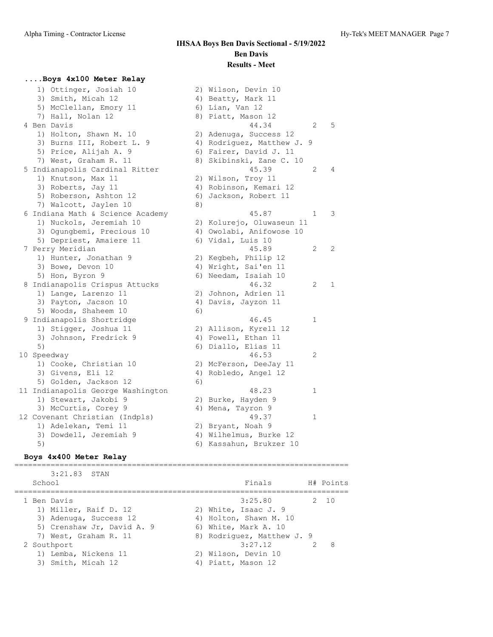### **....Boys 4x100 Meter Relay**

 1) Ottinger, Josiah 10 2) Wilson, Devin 10 3) Smith, Micah 12 4) Beatty, Mark 11 5) McClellan, Emory 11 6) Lian, Van 12 7) Hall, Nolan 12 8) Piatt, Mason 12 4 Ben Davis 44.34 2 5 1) Holton, Shawn M. 10 2) Adenuga, Success 12 3) Burns III, Robert L. 9 4) Rodriguez, Matthew J. 9 5) Price, Alijah A. 9 6) Fairer, David J. 11 7) West, Graham R. 11 8) Skibinski, Zane C. 10 5 Indianapolis Cardinal Ritter 45.39 2 4 1) Knutson, Max 11 2) Wilson, Troy 11 3) Roberts, Jay 11 4) Robinson, Kemari 12 5) Roberson, Ashton 12 6) Jackson, Robert 11 7) Walcott, Jaylen 10 8) 6 Indiana Math & Science Academy 45.87 1 3 1) Nuckols, Jeremiah 10 2) Kolurejo, Oluwaseun 11 3) Ogungbemi, Precious 10 4) Owolabi, Anifowose 10 5) Depriest, Amaiere 11 (6) Vidal, Luis 10 7 Perry Meridian 45.89 2 2 1) Hunter, Jonathan 9 2) Kegbeh, Philip 12 3) Bowe, Devon 10 4) Wright, Sai'en 11 5) Hon, Byron 9 6) Needam, Isaiah 10 8 Indianapolis Crispus Attucks 46.32 2 1 1) Lange, Larenzo 11 2) Johnon, Adrien 11 3) Payton, Jacson 10 4) Davis, Jayzon 11 5) Woods, Shaheem 10 6) 9 Indianapolis Shortridge 46.45 1 1) Stigger, Joshua 11 2) Allison, Kyrell 12 3) Johnson, Fredrick 9 4) Powell, Ethan 11 5) 6) Diallo, Elias 11 10 Speedway 46.53 2 1) Cooke, Christian 10 2) McFerson, DeeJay 11 3) Givens, Eli 12 (4) Robledo, Angel 12 5) Golden, Jackson 12 (6) 11 Indianapolis George Washington 1 1 18.23 1 1) Stewart, Jakobi 9 2) Burke, Hayden 9 3) McCurtis, Corey 9 4) Mena, Tayron 9 12 Covenant Christian (Indpls) 49.37 1 1) Adelekan, Temi 11 2) Bryant, Noah 9 3) Dowdell, Jeremiah 9 4) Wilhelmus, Burke 12 5) 6) Kassahun, Brukzer 10

#### **Boys 4x400 Meter Relay**

========================================================================== 3:21.83 STAN School **Finals** H# Points ========================================================================== 1 Ben Davis 3:25.80 2 10 1) Miller, Raif D. 12 2) White, Isaac J. 9 3) Adenuga, Success 12 4) Holton, Shawn M. 10 5) Crenshaw Jr, David A. 9 (6) White, Mark A. 10 7) West, Graham R. 11 8) Rodriguez, Matthew J. 9 2 Southport 2 3:27.12 2 8 1) Lemba, Nickens 11 2) Wilson, Devin 10 3) Smith, Micah 12 4) Piatt, Mason 12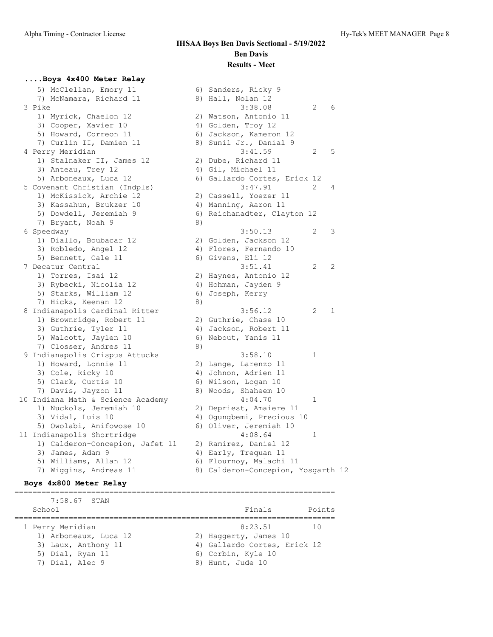### **....Boys 4x400 Meter Relay**

| 5) McClellan, Emory 11            |    | 6) Sanders, Ricky 9                |                     |  |
|-----------------------------------|----|------------------------------------|---------------------|--|
| 7) McNamara, Richard 11           |    | 8) Hall, Nolan 12                  |                     |  |
| 3 Pike                            |    | 3:38.08                            | 6<br>2              |  |
| 1) Myrick, Chaelon 12             |    | 2) Watson, Antonio 11              |                     |  |
| 3) Cooper, Xavier 10              |    | 4) Golden, Troy 12                 |                     |  |
| 5) Howard, Correon 11             |    | 6) Jackson, Kameron 12             |                     |  |
| 7) Curlin II, Damien 11           |    | 8) Sunil Jr., Danial 9             |                     |  |
| 4 Perry Meridian                  |    | 3:41.59                            | $\overline{2}$<br>5 |  |
| 1) Stalnaker II, James 12         |    | 2) Dube, Richard 11                |                     |  |
| 3) Anteau, Trey 12                |    | 4) Gil, Michael 11                 |                     |  |
| 5) Arboneaux, Luca 12             |    | 6) Gallardo Cortes, Erick 12       |                     |  |
| 5 Covenant Christian (Indpls)     |    | 3:47.91                            | 2<br>4              |  |
| 1) McKissick, Archie 12           |    | 2) Cassell, Yoezer 11              |                     |  |
| 3) Kassahun, Brukzer 10           |    | 4) Manning, Aaron 11               |                     |  |
| 5) Dowdell, Jeremiah 9            |    | 6) Reichanadter, Clayton 12        |                     |  |
| 7) Bryant, Noah 9                 | 8) |                                    |                     |  |
| 6 Speedway                        |    | 3:50.13                            | 3<br>2              |  |
| 1) Diallo, Boubacar 12            |    | 2) Golden, Jackson 12              |                     |  |
| 3) Robledo, Angel 12              |    | 4) Flores, Fernando 10             |                     |  |
| 5) Bennett, Cale 11               |    | 6) Givens, Eli 12                  |                     |  |
| 7 Decatur Central                 |    | 3:51.41                            | 2<br>2              |  |
| 1) Torres, Isai 12                |    | 2) Haynes, Antonio 12              |                     |  |
| 3) Rybecki, Nicolia 12            |    | 4) Hohman, Jayden 9                |                     |  |
| 5) Starks, William 12             |    | 6) Joseph, Kerry                   |                     |  |
| 7) Hicks, Keenan 12               | 8) |                                    |                     |  |
| 8 Indianapolis Cardinal Ritter    |    | 3:56.12                            | 1<br>2              |  |
| 1) Brownridge, Robert 11          |    | 2) Guthrie, Chase 10               |                     |  |
| 3) Guthrie, Tyler 11              |    | 4) Jackson, Robert 11              |                     |  |
| 5) Walcott, Jaylen 10             |    | 6) Nebout, Yanis 11                |                     |  |
| 7) Closser, Andres 11             | 8) |                                    |                     |  |
| 9 Indianapolis Crispus Attucks    |    | 3:58.10                            | 1                   |  |
| 1) Howard, Lonnie 11              |    | 2) Lange, Larenzo 11               |                     |  |
| 3) Cole, Ricky 10                 |    | 4) Johnon, Adrien 11               |                     |  |
| 5) Clark, Curtis 10               |    | 6) Wilson, Logan 10                |                     |  |
| 7) Davis, Jayzon 11               |    | 8) Woods, Shaheem 10               |                     |  |
| 10 Indiana Math & Science Academy |    | 4:04.70                            | 1                   |  |
| 1) Nuckols, Jeremiah 10           |    | 2) Depriest, Amaiere 11            |                     |  |
| 3) Vidal, Luis 10                 |    | 4) Ogungbemi, Precious 10          |                     |  |
| 5) Owolabi, Anifowose 10          |    | 6) Oliver, Jeremiah 10             |                     |  |
| 11 Indianapolis Shortridge        |    | 4:08.64                            | 1                   |  |
| 1) Calderon-Concepion, Jafet 11   |    | 2) Ramirez, Daniel 12              |                     |  |
| 3) James, Adam 9                  |    | 4) Early, Trequan 11               |                     |  |
| 5) Williams, Allan 12             |    | 6) Flournoy, Malachi 11            |                     |  |
| 7) Wiggins, Andreas 11            |    | 8) Calderon-Concepion, Yosgarth 12 |                     |  |

#### **Boys 4x800 Meter Relay**

======================================================================= 7:58.67 STAN School **Finals** Points ======================================================================= 1 Perry Meridian 2012 10 2012 11:00 12:23.51 10 1) Arboneaux, Luca 12 2) Haggerty, James 10 3) Laux, Anthony 11 4) Gallardo Cortes, Erick 12 5) Dial, Ryan 11 6) Corbin, Kyle 10 7) Dial, Alec 9 8) Hunt, Jude 10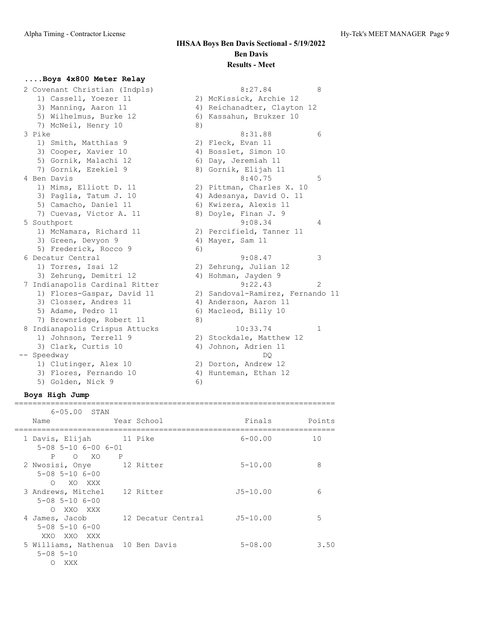### **....Boys 4x800 Meter Relay**

|      | 2 Covenant Christian (Indpls)  |    | 8:27.84                          | 8              |
|------|--------------------------------|----|----------------------------------|----------------|
|      | 1) Cassell, Yoezer 11          |    | 2) McKissick, Archie 12          |                |
|      | 3) Manning, Aaron 11           |    | 4) Reichanadter, Clayton 12      |                |
|      | 5) Wilhelmus, Burke 12         |    | 6) Kassahun, Brukzer 10          |                |
|      | 7) McNeil, Henry 10            | 8) |                                  |                |
|      | 3 Pike                         |    | 8:31.88                          | 6              |
|      | 1) Smith, Matthias 9           |    | 2) Fleck, Evan 11                |                |
|      | 3) Cooper, Xavier 10           |    | 4) Bosslet, Simon 10             |                |
|      | 5) Gornik, Malachi 12          |    | 6) Day, Jeremiah 11              |                |
|      | 7) Gornik, Ezekiel 9           |    | 8) Gornik, Elijah 11             |                |
|      | 4 Ben Davis                    |    | 8:40.75                          | 5              |
|      | 1) Mims, Elliott D. 11         |    | 2) Pittman, Charles X. 10        |                |
|      | 3) Paglia, Tatum J. 10         |    | 4) Adesanya, David O. 11         |                |
|      | 5) Camacho, Daniel 11          |    | 6) Kwizera, Alexis 11            |                |
|      | 7) Cuevas, Victor A. 11        |    | 8) Doyle, Finan J. 9             |                |
|      | 5 Southport                    |    | 9:08.34                          | 4              |
|      | 1) McNamara, Richard 11        |    | 2) Percifield, Tanner 11         |                |
|      | 3) Green, Devyon 9             |    | 4) Mayer, Sam 11                 |                |
|      | 5) Frederick, Rocco 9          | 6) |                                  |                |
|      | 6 Decatur Central              |    | 9:08.47                          | 3              |
|      | 1) Torres, Isai 12             |    | 2) Zehrung, Julian 12            |                |
|      | 3) Zehrung, Demitri 12         |    | 4) Hohman, Jayden 9              |                |
|      | 7 Indianapolis Cardinal Ritter |    | 9:22.43                          | $\mathfrak{D}$ |
|      | 1) Flores-Gaspar, David 11     |    | 2) Sandoval-Ramirez, Fernando 11 |                |
|      | 3) Closser, Andres 11          |    | 4) Anderson, Aaron 11            |                |
|      | 5) Adame, Pedro 11             | 6) | Macleod, Billy 10                |                |
|      | 7) Brownridge, Robert 11       | 8) |                                  |                |
|      | 8 Indianapolis Crispus Attucks |    | 10:33.74                         | 1              |
|      | 1) Johnson, Terrell 9          |    | 2) Stockdale, Matthew 12         |                |
|      | 3) Clark, Curtis 10            | 4) | Johnon, Adrien 11                |                |
| $--$ | Speedway                       |    | DO                               |                |
|      | 1) Clutinger, Alex 10          |    | 2) Dorton, Andrew 12             |                |
|      | 3) Flores, Fernando 10         |    | 4) Hunteman, Ethan 12            |                |
|      | 5) Golden, Nick 9              | 6) |                                  |                |

### **Boys High Jump**

| $6 - 05.00$ STAN                                              |                |                    |              |        |
|---------------------------------------------------------------|----------------|--------------------|--------------|--------|
| Name                                                          |                | Year School        | Finals       | Points |
| 1 Davis, Elijah<br>$5 - 08$ $5 - 10$ $6 - 00$ $6 - 01$        | 11 Pike        |                    | $6 - 00.00$  | 10     |
| P<br>O XO<br>2 Nwosisi, Onye 12 Ritter                        | $\overline{P}$ |                    | $5 - 10.00$  | 8      |
| $5 - 08$ $5 - 10$ $6 - 00$<br>XO XXX<br>$\cap$                |                |                    |              |        |
| 3 Andrews, Mitchel<br>$5 - 08$ $5 - 10$ $6 - 00$<br>O XXO XXX |                | 12 Ritter          | $J5 - 10.00$ | 6      |
| 4 James, Jacob<br>$5 - 08$ $5 - 10$ $6 - 00$<br>XXO XXO XXX   |                | 12 Decatur Central | $J5 - 10.00$ | 5      |
| 5 Williams, Nathenua 10 Ben Davis<br>$5 - 08$ $5 - 10$<br>XXX |                |                    | $5 - 08.00$  | 3.50   |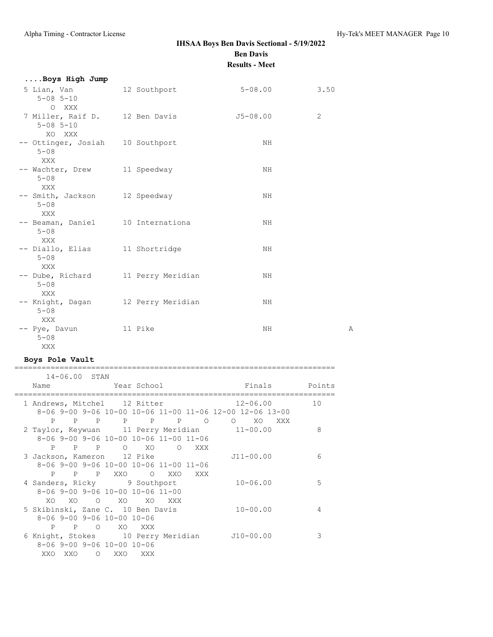| Boys High Jump                                                |                   |              |                |
|---------------------------------------------------------------|-------------------|--------------|----------------|
| 5 Lian, Van<br>$5 - 08$ $5 - 10$<br>O XXX                     | 12 Southport      | $5 - 08.00$  | 3.50           |
| 7 Miller, Raif D. 12 Ben Davis<br>$5 - 08$ $5 - 10$<br>XO XXX |                   | $J5 - 08.00$ | $\overline{2}$ |
| -- Ottinger, Josiah 10 Southport<br>$5 - 08$<br>XXX           |                   | NH.          |                |
| -- Wachter, Drew<br>$5 - 08$<br>XXX                           | 11 Speedway       | NH           |                |
| -- Smith, Jackson<br>$5 - 08$<br><b>XXX</b>                   | 12 Speedway       | NH.          |                |
| -- Beaman, Daniel 10 Internationa<br>$5 - 08$<br>XXX          |                   | NH           |                |
| -- Diallo, Elias 11 Shortridge<br>$5 - 08$<br>XXX             |                   | NH           |                |
| -- Dube, Richard<br>$5 - 08$<br>XXX                           | 11 Perry Meridian | NH.          |                |
| -- Knight, Dagan 12 Perry Meridian<br>$5 - 08$<br>XXX         |                   | NH           |                |
| -- Pye, Davun<br>$5 - 08$<br>XXX                              | 11 Pike           | NH.          | Α              |

### **Boys Pole Vault**

| 14-06.00 STAN                                                                           |                |                 |        |                                                                                                                                                                                                                                   |     |                                                                                      |    |
|-----------------------------------------------------------------------------------------|----------------|-----------------|--------|-----------------------------------------------------------------------------------------------------------------------------------------------------------------------------------------------------------------------------------|-----|--------------------------------------------------------------------------------------|----|
| Name                                                                                    |                | External School |        |                                                                                                                                                                                                                                   |     | Finals Points                                                                        |    |
| 1 Andrews, Mitchel 12 Ritter<br>P P P P P P O                                           |                |                 |        |                                                                                                                                                                                                                                   |     | $12 - 06.00$<br>8-06 9-00 9-06 10-00 10-06 11-00 11-06 12-00 12-06 13-00<br>O XO XXX | 10 |
| 8-06 9-00 9-06 10-00 10-06 11-00 11-06<br>P P P O XO                                    |                |                 |        | and the control of the state of the state of the state of the state of the state of the state of the state of t<br>The state of the state of the state of the state of the state of the state of the state of the state of the st |     | 2 Taylor, Keywuan 11 Perry Meridian 11-00.00                                         | 8  |
| 3 Jackson, Kameron 12 Pike<br>8-06 9-00 9-06 10-00 10-06 11-00 11-06<br>P P P XXO O XXO |                |                 |        |                                                                                                                                                                                                                                   | XXX | $J11 - 00.00$                                                                        | 6  |
| 4 Sanders, Ricky 9 Southport<br>8-06 9-00 9-06 10-00 10-06 11-00<br>XO.<br>XO X         | $\circ$        | XO.             |        | XO XXX                                                                                                                                                                                                                            |     | $10 - 06.00$                                                                         | 5  |
| 5 Skibinski, Zane C. 10 Ben Davis<br>8-06 9-00 9-06 10-00 10-06<br>P<br>P               | $\overline{O}$ |                 | XO XXX |                                                                                                                                                                                                                                   |     | $10 - 00.00$                                                                         | 4  |
| 6 Knight, Stokes 10 Perry Meridian<br>$8 - 069 - 009 - 0610 - 0010 - 06$<br>XXO<br>XXO  |                | O XXO XXX       |        |                                                                                                                                                                                                                                   |     | $J10-00.00$                                                                          | 3  |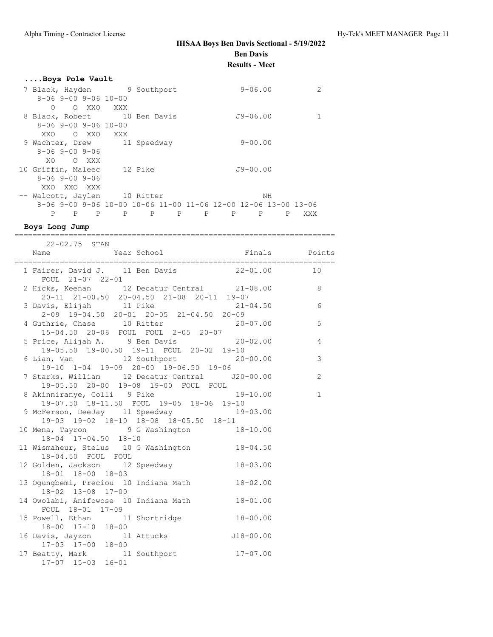| Boys Pole Vault                                                |         |        |   |   |              |    |     |
|----------------------------------------------------------------|---------|--------|---|---|--------------|----|-----|
| 7 Black, Hayden 9 Southport                                    |         |        |   |   | $9 - 06.00$  |    | 2   |
| $8 - 069 - 009 - 0610 - 00$                                    |         |        |   |   |              |    |     |
| O XXO<br>Ω                                                     | XXX X   |        |   |   |              |    |     |
| 8 Black, Robert 10 Ben Davis                                   |         |        |   |   | $J9 - 06.00$ |    |     |
| $8 - 069 - 009 - 0610 - 00$                                    |         |        |   |   |              |    |     |
| O XXO<br>XXO                                                   | XXX     |        |   |   |              |    |     |
| 9 Wachter, Drew 11 Speedway                                    |         |        |   |   | $9 - 00.00$  |    |     |
| $8 - 069 - 009 - 06$                                           |         |        |   |   |              |    |     |
| O XXX<br>XO.                                                   |         |        |   |   |              |    |     |
| 10 Griffin, Maleec                                             | 12 Pike |        |   |   | $J9 - 00.00$ |    |     |
| $8 - 069 - 009 - 06$                                           |         |        |   |   |              |    |     |
| XXO XXO XXX                                                    |         |        |   |   |              |    |     |
| -- Walcott, Jaylen 10 Ritter                                   |         |        |   |   |              | NН |     |
| 8-06 9-00 9-06 10-00 10-06 11-00 11-06 12-00 12-06 13-00 13-06 |         |        |   |   |              |    |     |
| P<br>P<br>P                                                    | P       | P<br>P | P | P | P            | P  | XXX |

**Boys Long Jump**

======================================================================= 22-02.75 STAN

| AATUA.IJ JIAN                                                                               |                |
|---------------------------------------------------------------------------------------------|----------------|
| 1 Fairer, David J. 11 Ben Davis 22-01.00<br>FOUL 21-07 22-01                                | 10             |
| 2 Hicks, Keenan 12 Decatur Central 21-08.00 8<br>20-11 21-00.50 20-04.50 21-08 20-11 19-07  |                |
| 3 Davis, Elijah 11 Pike 21-04.50 6<br>2-09 19-04.50 20-01 20-05 21-04.50 20-09              |                |
| 4 Guthrie, Chase 10 Ritter 20-07.00<br>15-04.50 20-06 FOUL FOUL 2-05 20-07                  | 5              |
| 5 Price, Alijah A. 9 Ben Davis 20-02.00<br>19-05.50 19-00.50 19-11 FOUL 20-02 19-10         | $\overline{4}$ |
| 6 Lian, Van 12 Southport 20-00.00<br>19-10 1-04 19-09 20-00 19-06.50 19-06                  | 3              |
| 7 Starks, William 12 Decatur Central J20-00.00<br>19-05.50  20-00  19-08  19-00  FOUL  FOUL | 2              |
| 8 Akinniranye, Colli 9 Pike 19-10.00<br>19-07.50 18-11.50 FOUL 19-05 18-06 19-10            | $\mathbf{1}$   |
| 9 McFerson, DeeJay 11 Speedway 19-03.00<br>19-03 19-02 18-10 18-08 18-05.50 18-11           |                |
| 10 Mena, Tayron 9 G Washington 18-10.00<br>$18-04$ $17-04.50$ $18-10$                       |                |
| 11 Wismaheur, Stelus 10 G Washington 18-04.50<br>18-04.50 FOUL FOUL                         |                |
| 12 Golden, Jackson 12 Speedway 18-03.00<br>18-01 18-00 18-03                                |                |
| 13 Ogungbemi, Preciou 10 Indiana Math 18-02.00<br>18-02 13-08 17-00                         |                |
| 14 Owolabi, Anifowose 10 Indiana Math 18-01.00<br>FOUL 18-01 17-09                          |                |
| 15 Powell, Ethan 11 Shortridge 18-00.00<br>18-00 17-10 18-00                                |                |
| 16 Davis, Jayzon 11 Attucks 518-00.00<br>17-03 17-00 18-00                                  |                |
| 17 Beatty, Mark 11 Southport 17-07.00<br>$17-07$ $15-03$ $16-01$                            |                |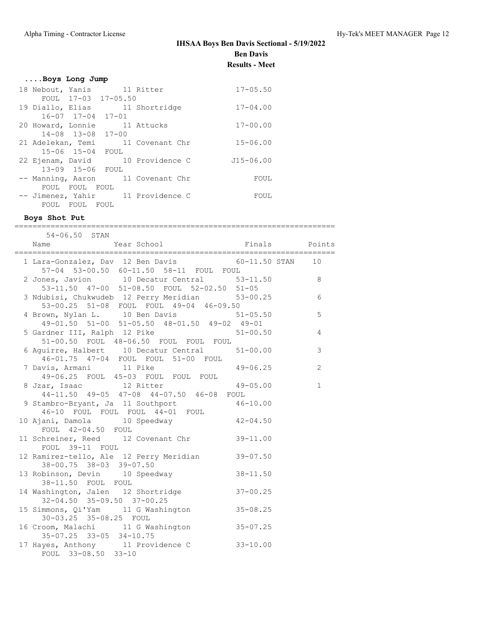| Boys Long Jump                    |               |
|-----------------------------------|---------------|
| 18 Nebout, Yanis 11 Ritter        | $17 - 05.50$  |
| FOUL 17-03 17-05.50               |               |
| 19 Diallo, Elias 11 Shortridge    | $17 - 04.00$  |
| $16 - 07$ $17 - 04$ $17 - 01$     |               |
| 20 Howard, Lonnie 11 Attucks      | $17 - 00.00$  |
| $14 - 08$ $13 - 08$ $17 - 00$     |               |
| 21 Adelekan, Temi 11 Covenant Chr | $15 - 06.00$  |
| 15-06 15-04 FOUL                  |               |
| 22 Ejenam, David 10 Providence C  | $J15 - 06.00$ |
| 13-09 15-06 FOUL                  |               |
| -- Manning, Aaron 11 Covenant Chr | FOUL          |
| FOUL FOUL FOUL                    |               |
| -- Jimenez, Yahir 11 Providence C | FOUL          |
| FOUL FOUL<br><b>FOUL</b>          |               |

### **Boys Shot Put**

| 54-06.50 STAN<br>The Community of the School of Times and Points<br>Name                      |              |                |
|-----------------------------------------------------------------------------------------------|--------------|----------------|
|                                                                                               |              |                |
| 1 Lara-Gonzalez, Dav 12 Ben Davis 60-11.50 STAN 10<br>57-04 53-00.50 60-11.50 58-11 FOUL FOUL |              |                |
| 2 Jones, Javion 10 Decatur Central 53-11.50 8<br>53-11.50 47-00 51-08.50 FOUL 52-02.50 51-05  |              |                |
| 3 Ndubisi, Chukwudeb 12 Perry Meridian 53-00.25<br>53-00.25 51-08 FOUL FOUL 14-04 46.00.00    |              | 6              |
| 4 Brown, Nylan L. 10 Ben Davis 51-05.50<br>49-01.50 51-00 51-05.50 48-01.50 49-02 49-01       |              | 5              |
| 5 Gardner III, Ralph 12 Pike 51-00.50<br>51-00.50 FOUL 48-06.50 FOUL FOUL FOUL                |              | $\overline{4}$ |
| 6 Aquirre, Halbert 10 Decatur Central 51-00.00<br>46-01.75 47-04 FOUL FOUL 51-00 FOUL         |              | $\mathcal{S}$  |
| 7 Davis, Armani 11 Pike<br>49-06.25 FOUL 45-03 FOUL FOUL FOUL                                 | $49 - 06.25$ | 2              |
| 8 Jzar, Isaac 12 Ritter 49-05.00<br>44-11.50 49-05 47-08 44-07.50 46-08 FOUL                  |              | $\mathbf{1}$   |
| 9 Stambro-Bryant, Ja 11 Southport 46-10.00<br>46-10 FOUL FOUL FOUL 44-01 FOUL                 |              |                |
| 10 Ajani, Damola 10 Speedway<br>FOUL 42-04.50 FOUL                                            | $42 - 04.50$ |                |
| 11 Schreiner, Reed 12 Covenant Chr<br>FOUL 39-11 FOUL                                         | $39 - 11.00$ |                |
| 12 Ramirez-tello, Ale 12 Perry Meridian<br>38-00.75 38-03 39-07.50                            | $39 - 07.50$ |                |
| 13 Robinson, Devin 10 Speedway<br>38-11.50 FOUL FOUL                                          | $38 - 11.50$ |                |
| 14 Washington, Jalen 12 Shortridge<br>32-04.50 35-09.50 37-00.25                              | $37 - 00.25$ |                |
| 15 Simmons, Qi'Yam 11 G Washington<br>30-03.25 35-08.25 FOUL                                  | $35 - 08.25$ |                |
| 16 Croom, Malachi 11 G Washington<br>$35-07.25$ $33-05$ $34-10.75$                            | $35 - 07.25$ |                |
| 17 Hayes, Anthony 11 Providence C 33-10.00<br>FOUL 33-08.50 33-10                             |              |                |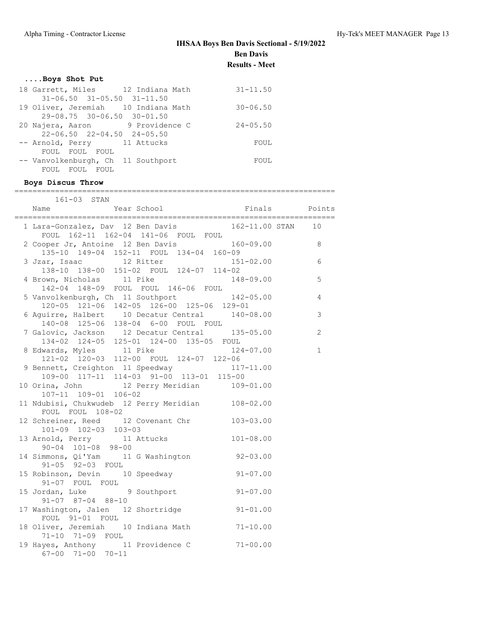### **....Boys Shot Put**

| 18 Garrett, Miles 12 Indiana Math      | $31 - 11.50$ |  |
|----------------------------------------|--------------|--|
| $31-06.50$ $31-05.50$ $31-11.50$       |              |  |
| 19 Oliver, Jeremiah 10 Indiana Math    | $30 - 06.50$ |  |
| 29-08.75 30-06.50 30-01.50             |              |  |
| 20 Najera, Aaron 9 Providence C        | $24 - 05.50$ |  |
| $22 - 06.50$ $22 - 04.50$ $24 - 05.50$ |              |  |
| -- Arnold, Perry 11 Attucks            | FOUL         |  |
| FOUL FOUL FOUL                         |              |  |
| -- Vanvolkenburgh, Ch 11 Southport     | FOUL         |  |
| FOUL FOUL FOUL                         |              |  |

-- Vanvolkenburgh, Ch 11 Southport FOUL FOUL FOUL FOUL **Boys Discus Throw** ======================================================================= 161-03 STAN Name Year School Finals Points ======================================================================= 1 Lara-Gonzalez, Dav 12 Ben Davis 162-11.00 STAN 10 FOUL 162-11 162-04 141-06 FOUL FOUL 2 Cooper Jr, Antoine 12 Ben Davis 160-09.00 8 135-10 149-04 152-11 FOUL 134-04 160-09 3 Jzar, Isaac 12 Ritter 151-02.00 6 138-10 138-00 151-02 FOUL 124-07 114-02 4 Brown, Nicholas 11 Pike 148-09.00 5 142-04 148-09 FOUL FOUL 146-06 FOUL 5 Vanvolkenburgh, Ch 11 Southport 142-05.00 4 120-05 121-06 142-05 126-00 125-06 129-01 6 Aguirre, Halbert 10 Decatur Central 140-08.00 3 140-08 125-06 138-04 6-00 FOUL FOUL 7 Galovic, Jackson 12 Decatur Central 135-05.00 2 134-02 124-05 125-01 124-00 135-05 FOUL 8 Edwards, Myles 11 Pike 124-07.00 1 121-02 120-03 112-00 FOUL 124-07 122-06 9 Bennett, Creighton 11 Speedway 117-11.00 109-00 117-11 114-03 91-00 113-01 115-00 10 Orina, John 12 Perry Meridian 109-01.00 107-11 109-01 106-02 11 Ndubisi, Chukwudeb 12 Perry Meridian 108-02.00 FOUL FOUL 108-02 12 Schreiner, Reed 12 Covenant Chr 103-03.00 101-09 102-03 103-03 13 Arnold, Perry 11 Attucks 101-08.00 90-04 101-08 98-00 14 Simmons, Qi'Yam 11 G Washington 92-03.00 91-05 92-03 FOUL

15 Robinson, Devin 10 Speedway 91-07.00

15 Jordan, Luke 9 Southport 91-07.00

17 Washington, Jalen 12 Shortridge 91-01.00

18 Oliver, Jeremiah 10 Indiana Math 71-10.00

19 Hayes, Anthony 11 Providence C 71-00.00

91-07 FOUL FOUL

91-07 87-04 88-10

FOUL 91-01 FOUL

71-10 71-09 FOUL

67-00 71-00 70-11